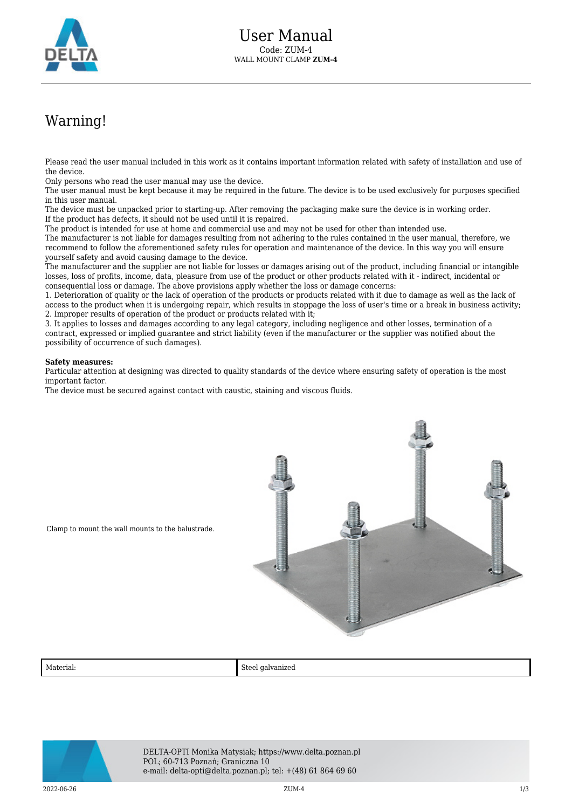

## Warning!

Please read the user manual included in this work as it contains important information related with safety of installation and use of the device.

Only persons who read the user manual may use the device.

The user manual must be kept because it may be required in the future. The device is to be used exclusively for purposes specified in this user manual.

The device must be unpacked prior to starting-up. After removing the packaging make sure the device is in working order. If the product has defects, it should not be used until it is repaired.

The product is intended for use at home and commercial use and may not be used for other than intended use.

The manufacturer is not liable for damages resulting from not adhering to the rules contained in the user manual, therefore, we recommend to follow the aforementioned safety rules for operation and maintenance of the device. In this way you will ensure yourself safety and avoid causing damage to the device.

The manufacturer and the supplier are not liable for losses or damages arising out of the product, including financial or intangible losses, loss of profits, income, data, pleasure from use of the product or other products related with it - indirect, incidental or consequential loss or damage. The above provisions apply whether the loss or damage concerns:

1. Deterioration of quality or the lack of operation of the products or products related with it due to damage as well as the lack of access to the product when it is undergoing repair, which results in stoppage the loss of user's time or a break in business activity; 2. Improper results of operation of the product or products related with it;

3. It applies to losses and damages according to any legal category, including negligence and other losses, termination of a contract, expressed or implied guarantee and strict liability (even if the manufacturer or the supplier was notified about the possibility of occurrence of such damages).

## **Safety measures:**

Particular attention at designing was directed to quality standards of the device where ensuring safety of operation is the most important factor.

The device must be secured against contact with caustic, staining and viscous fluids.



Clamp to mount the wall mounts to the balustrade.

Material: Steel galvanized



DELTA-OPTI Monika Matysiak; https://www.delta.poznan.pl POL; 60-713 Poznań; Graniczna 10 e-mail: delta-opti@delta.poznan.pl; tel: +(48) 61 864 69 60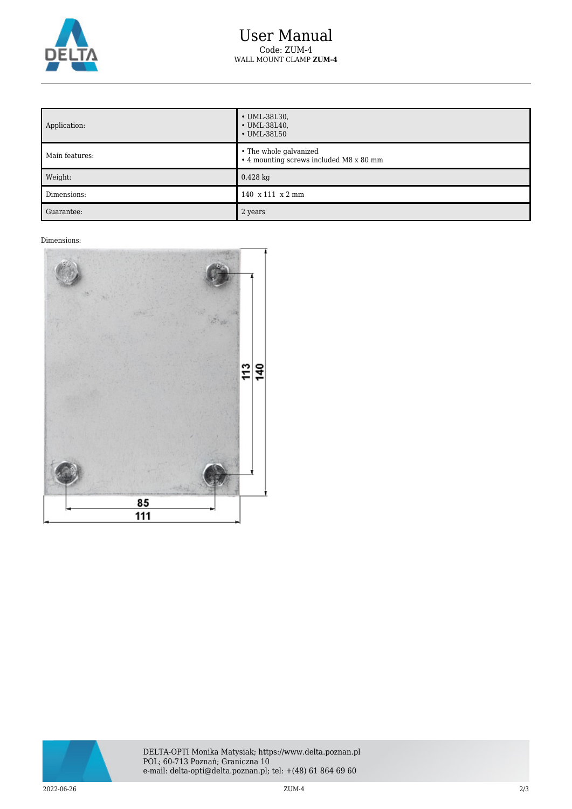

## User Manual Code: ZUM-4 WALL MOUNT CLAMP **ZUM-4**

| Application:   | • UML-38L30,<br>• UML-38L40,<br>$\cdot$ UML-38L50                 |
|----------------|-------------------------------------------------------------------|
| Main features: | • The whole galvanized<br>• 4 mounting screws included M8 x 80 mm |
| Weight:        | $0.428$ kg                                                        |
| Dimensions:    | 140 x 111 x 2 mm                                                  |
| Guarantee:     | 2 years                                                           |

## Dimensions: